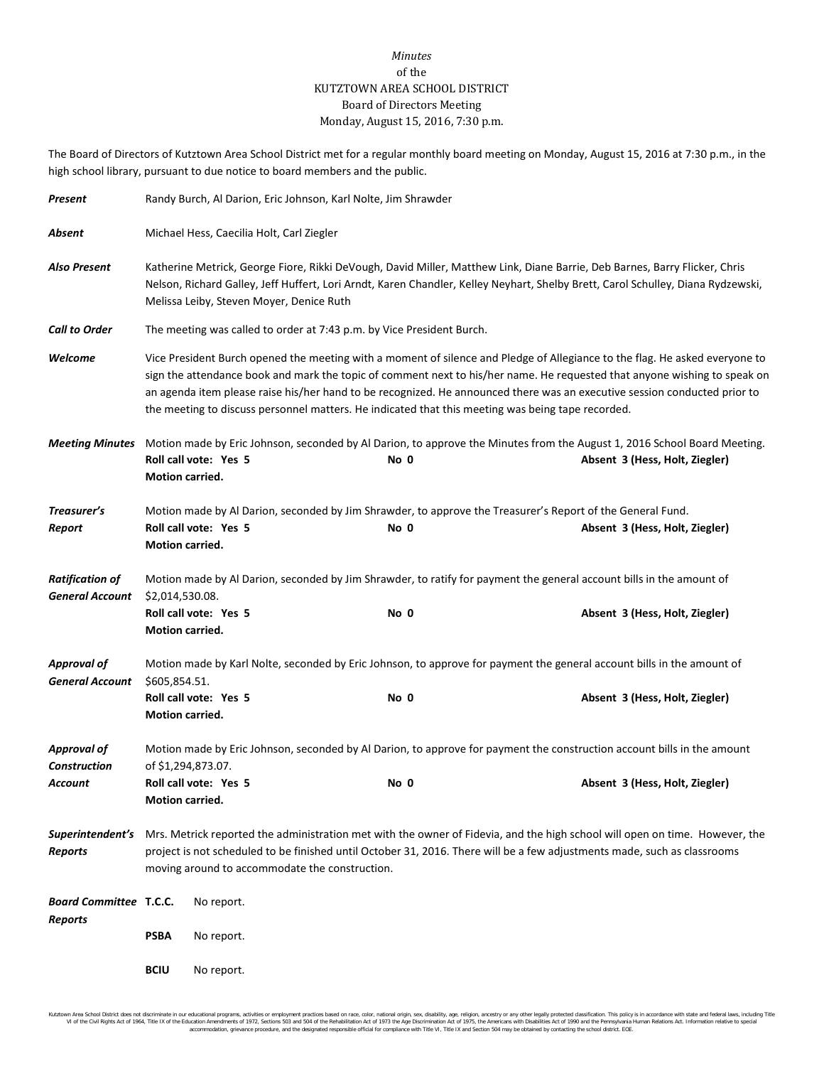## *Minutes* of the KUTZTOWN AREA SCHOOL DISTRICT Board of Directors Meeting Monday, August 15, 2016, 7:30 p.m.

The Board of Directors of Kutztown Area School District met for a regular monthly board meeting on Monday, August 15, 2016 at 7:30 p.m., in the high school library, pursuant to due notice to board members and the public.

| Present                                          | Randy Burch, Al Darion, Eric Johnson, Karl Nolte, Jim Shrawder                                                                                                                                                                                                                                             |                                                                                                                                                                                                                                                                                                                                                                                                                                                                                            |      |                                                                                                                                                            |  |
|--------------------------------------------------|------------------------------------------------------------------------------------------------------------------------------------------------------------------------------------------------------------------------------------------------------------------------------------------------------------|--------------------------------------------------------------------------------------------------------------------------------------------------------------------------------------------------------------------------------------------------------------------------------------------------------------------------------------------------------------------------------------------------------------------------------------------------------------------------------------------|------|------------------------------------------------------------------------------------------------------------------------------------------------------------|--|
| Absent                                           | Michael Hess, Caecilia Holt, Carl Ziegler                                                                                                                                                                                                                                                                  |                                                                                                                                                                                                                                                                                                                                                                                                                                                                                            |      |                                                                                                                                                            |  |
| <b>Also Present</b>                              | Katherine Metrick, George Fiore, Rikki DeVough, David Miller, Matthew Link, Diane Barrie, Deb Barnes, Barry Flicker, Chris<br>Nelson, Richard Galley, Jeff Huffert, Lori Arndt, Karen Chandler, Kelley Neyhart, Shelby Brett, Carol Schulley, Diana Rydzewski,<br>Melissa Leiby, Steven Moyer, Denice Ruth |                                                                                                                                                                                                                                                                                                                                                                                                                                                                                            |      |                                                                                                                                                            |  |
| <b>Call to Order</b>                             |                                                                                                                                                                                                                                                                                                            | The meeting was called to order at 7:43 p.m. by Vice President Burch.                                                                                                                                                                                                                                                                                                                                                                                                                      |      |                                                                                                                                                            |  |
| Welcome                                          |                                                                                                                                                                                                                                                                                                            | Vice President Burch opened the meeting with a moment of silence and Pledge of Allegiance to the flag. He asked everyone to<br>sign the attendance book and mark the topic of comment next to his/her name. He requested that anyone wishing to speak on<br>an agenda item please raise his/her hand to be recognized. He announced there was an executive session conducted prior to<br>the meeting to discuss personnel matters. He indicated that this meeting was being tape recorded. |      |                                                                                                                                                            |  |
| <b>Meeting Minutes</b>                           | Motion carried.                                                                                                                                                                                                                                                                                            | Roll call vote: Yes 5                                                                                                                                                                                                                                                                                                                                                                                                                                                                      | No 0 | Motion made by Eric Johnson, seconded by Al Darion, to approve the Minutes from the August 1, 2016 School Board Meeting.<br>Absent 3 (Hess, Holt, Ziegler) |  |
| Treasurer's                                      | Motion made by Al Darion, seconded by Jim Shrawder, to approve the Treasurer's Report of the General Fund.                                                                                                                                                                                                 |                                                                                                                                                                                                                                                                                                                                                                                                                                                                                            |      |                                                                                                                                                            |  |
| Report                                           | Motion carried.                                                                                                                                                                                                                                                                                            | Roll call vote: Yes 5                                                                                                                                                                                                                                                                                                                                                                                                                                                                      | No 0 | Absent 3 (Hess, Holt, Ziegler)                                                                                                                             |  |
| <b>Ratification of</b><br><b>General Account</b> | Motion made by Al Darion, seconded by Jim Shrawder, to ratify for payment the general account bills in the amount of<br>\$2,014,530.08.                                                                                                                                                                    |                                                                                                                                                                                                                                                                                                                                                                                                                                                                                            |      |                                                                                                                                                            |  |
|                                                  | Motion carried.                                                                                                                                                                                                                                                                                            | Roll call vote: Yes 5                                                                                                                                                                                                                                                                                                                                                                                                                                                                      | No 0 | Absent 3 (Hess, Holt, Ziegler)                                                                                                                             |  |
| <b>Approval of</b><br><b>General Account</b>     | Motion made by Karl Nolte, seconded by Eric Johnson, to approve for payment the general account bills in the amount of<br>\$605,854.51.                                                                                                                                                                    |                                                                                                                                                                                                                                                                                                                                                                                                                                                                                            |      |                                                                                                                                                            |  |
|                                                  | Motion carried.                                                                                                                                                                                                                                                                                            | Roll call vote: Yes 5                                                                                                                                                                                                                                                                                                                                                                                                                                                                      | No 0 | Absent 3 (Hess, Holt, Ziegler)                                                                                                                             |  |
| <b>Approval of</b><br><b>Construction</b>        | Motion made by Eric Johnson, seconded by Al Darion, to approve for payment the construction account bills in the amount<br>of \$1,294,873.07.                                                                                                                                                              |                                                                                                                                                                                                                                                                                                                                                                                                                                                                                            |      |                                                                                                                                                            |  |
| Account                                          | Motion carried.                                                                                                                                                                                                                                                                                            | Roll call vote: Yes 5                                                                                                                                                                                                                                                                                                                                                                                                                                                                      | No 0 | Absent 3 (Hess, Holt, Ziegler)                                                                                                                             |  |
| Superintendent's<br><b>Reports</b>               | Mrs. Metrick reported the administration met with the owner of Fidevia, and the high school will open on time. However, the<br>project is not scheduled to be finished until October 31, 2016. There will be a few adjustments made, such as classrooms<br>moving around to accommodate the construction.  |                                                                                                                                                                                                                                                                                                                                                                                                                                                                                            |      |                                                                                                                                                            |  |
| <b>Board Committee T.C.C.</b><br>Reports         |                                                                                                                                                                                                                                                                                                            | No report.                                                                                                                                                                                                                                                                                                                                                                                                                                                                                 |      |                                                                                                                                                            |  |
|                                                  | <b>PSBA</b>                                                                                                                                                                                                                                                                                                | No report.                                                                                                                                                                                                                                                                                                                                                                                                                                                                                 |      |                                                                                                                                                            |  |
|                                                  | <b>BCIU</b>                                                                                                                                                                                                                                                                                                | No report.                                                                                                                                                                                                                                                                                                                                                                                                                                                                                 |      |                                                                                                                                                            |  |

Kutzlown Area School District does not discriminate in our oducational programs, activities or employment practices based on ractional origin, sex, disability, so, et also in the about any secure in the search of 1973 to a accommodation, grievance procedure, and the designated responsible official for compliance with Title VI, Title IX and Section 504 may be obtained by contacting the school district. EOE.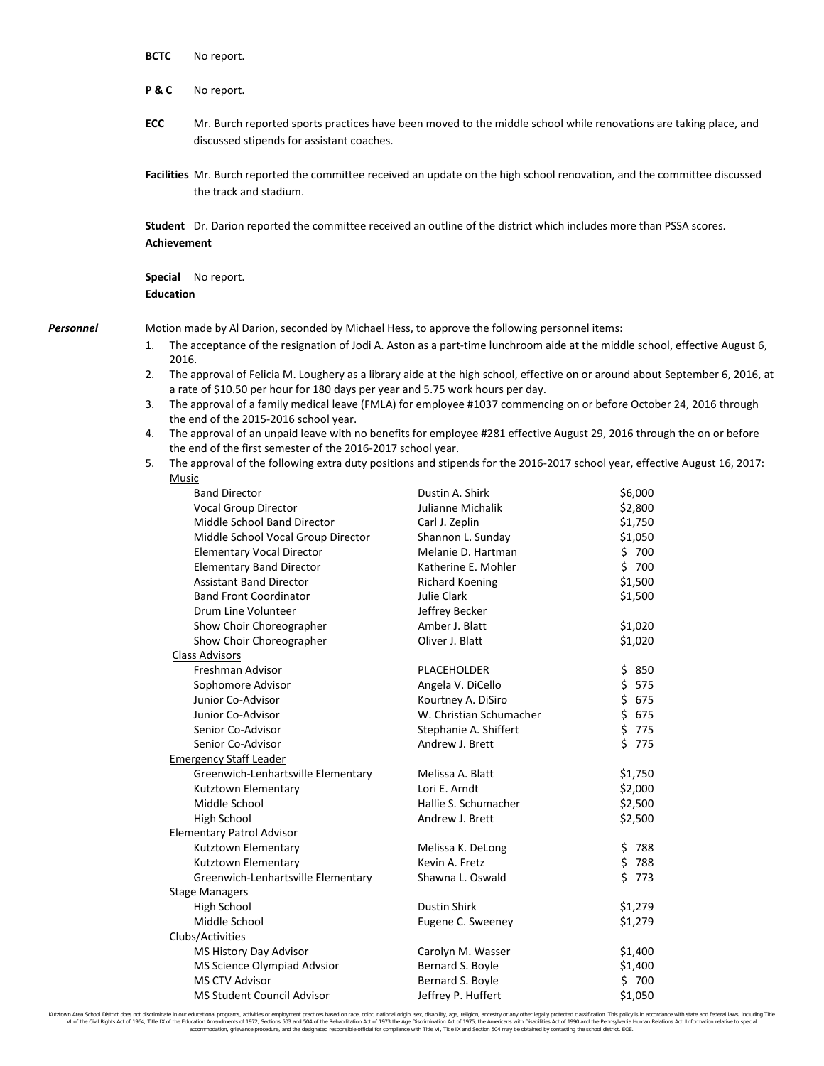|           | <b>BCTC</b>                                                                                                                                                                                                                                                                                                                                                                                                                                                                                                                                                                                                                                                                                                                                                                                                                                                                                                                                                                                                                                                                                                                                                                                                                                                                                                                                                                                                                                     | No report.                                                                                                                                                                                                                                                                                                                                                                                                                 |                                                                                                                                                                                                                                                                                           |                                                                                                                                             |  |  |
|-----------|-------------------------------------------------------------------------------------------------------------------------------------------------------------------------------------------------------------------------------------------------------------------------------------------------------------------------------------------------------------------------------------------------------------------------------------------------------------------------------------------------------------------------------------------------------------------------------------------------------------------------------------------------------------------------------------------------------------------------------------------------------------------------------------------------------------------------------------------------------------------------------------------------------------------------------------------------------------------------------------------------------------------------------------------------------------------------------------------------------------------------------------------------------------------------------------------------------------------------------------------------------------------------------------------------------------------------------------------------------------------------------------------------------------------------------------------------|----------------------------------------------------------------------------------------------------------------------------------------------------------------------------------------------------------------------------------------------------------------------------------------------------------------------------------------------------------------------------------------------------------------------------|-------------------------------------------------------------------------------------------------------------------------------------------------------------------------------------------------------------------------------------------------------------------------------------------|---------------------------------------------------------------------------------------------------------------------------------------------|--|--|
|           | <b>P&amp;C</b>                                                                                                                                                                                                                                                                                                                                                                                                                                                                                                                                                                                                                                                                                                                                                                                                                                                                                                                                                                                                                                                                                                                                                                                                                                                                                                                                                                                                                                  | No report.                                                                                                                                                                                                                                                                                                                                                                                                                 |                                                                                                                                                                                                                                                                                           |                                                                                                                                             |  |  |
|           | ECC                                                                                                                                                                                                                                                                                                                                                                                                                                                                                                                                                                                                                                                                                                                                                                                                                                                                                                                                                                                                                                                                                                                                                                                                                                                                                                                                                                                                                                             | discussed stipends for assistant coaches.                                                                                                                                                                                                                                                                                                                                                                                  | Mr. Burch reported sports practices have been moved to the middle school while renovations are taking place, and<br>Facilities Mr. Burch reported the committee received an update on the high school renovation, and the committee discussed                                             |                                                                                                                                             |  |  |
|           |                                                                                                                                                                                                                                                                                                                                                                                                                                                                                                                                                                                                                                                                                                                                                                                                                                                                                                                                                                                                                                                                                                                                                                                                                                                                                                                                                                                                                                                 | the track and stadium.                                                                                                                                                                                                                                                                                                                                                                                                     |                                                                                                                                                                                                                                                                                           |                                                                                                                                             |  |  |
|           | <b>Achievement</b>                                                                                                                                                                                                                                                                                                                                                                                                                                                                                                                                                                                                                                                                                                                                                                                                                                                                                                                                                                                                                                                                                                                                                                                                                                                                                                                                                                                                                              | Student Dr. Darion reported the committee received an outline of the district which includes more than PSSA scores.                                                                                                                                                                                                                                                                                                        |                                                                                                                                                                                                                                                                                           |                                                                                                                                             |  |  |
|           | <b>Education</b>                                                                                                                                                                                                                                                                                                                                                                                                                                                                                                                                                                                                                                                                                                                                                                                                                                                                                                                                                                                                                                                                                                                                                                                                                                                                                                                                                                                                                                | <b>Special</b> No report.                                                                                                                                                                                                                                                                                                                                                                                                  |                                                                                                                                                                                                                                                                                           |                                                                                                                                             |  |  |
| Personnel |                                                                                                                                                                                                                                                                                                                                                                                                                                                                                                                                                                                                                                                                                                                                                                                                                                                                                                                                                                                                                                                                                                                                                                                                                                                                                                                                                                                                                                                 | Motion made by Al Darion, seconded by Michael Hess, to approve the following personnel items:                                                                                                                                                                                                                                                                                                                              |                                                                                                                                                                                                                                                                                           |                                                                                                                                             |  |  |
|           | The acceptance of the resignation of Jodi A. Aston as a part-time lunchroom aide at the middle school, effective August 6,<br>1.<br>2016.<br>The approval of Felicia M. Loughery as a library aide at the high school, effective on or around about September 6, 2016, at<br>2.<br>a rate of \$10.50 per hour for 180 days per year and 5.75 work hours per day.<br>The approval of a family medical leave (FMLA) for employee #1037 commencing on or before October 24, 2016 through<br>3.<br>the end of the 2015-2016 school year.<br>The approval of an unpaid leave with no benefits for employee #281 effective August 29, 2016 through the on or before<br>4.<br>the end of the first semester of the 2016-2017 school year.<br>The approval of the following extra duty positions and stipends for the 2016-2017 school year, effective August 16, 2017:<br>5.<br>Music<br><b>Band Director</b><br>Dustin A. Shirk<br>\$6,000<br>Vocal Group Director<br>Julianne Michalik<br>\$2,800<br>Middle School Band Director<br>\$1,750<br>Carl J. Zeplin<br>Middle School Vocal Group Director<br>Shannon L. Sunday<br>\$1,050<br><b>Elementary Vocal Director</b><br>Melanie D. Hartman<br>\$700<br>\$700<br><b>Elementary Band Director</b><br>Katherine E. Mohler<br><b>Assistant Band Director</b><br>\$1,500<br><b>Richard Koening</b><br>\$1,500<br><b>Band Front Coordinator</b><br>Julie Clark<br>Drum Line Volunteer<br>Jeffrey Becker |                                                                                                                                                                                                                                                                                                                                                                                                                            |                                                                                                                                                                                                                                                                                           |                                                                                                                                             |  |  |
|           |                                                                                                                                                                                                                                                                                                                                                                                                                                                                                                                                                                                                                                                                                                                                                                                                                                                                                                                                                                                                                                                                                                                                                                                                                                                                                                                                                                                                                                                 | Show Choir Choreographer<br>Show Choir Choreographer<br><b>Class Advisors</b><br>Freshman Advisor<br>Sophomore Advisor<br>Junior Co-Advisor<br>Junior Co-Advisor<br>Senior Co-Advisor<br>Senior Co-Advisor<br><b>Emergency Staff Leader</b><br>Greenwich-Lenhartsville Elementary<br>Kutztown Elementary<br>Middle School<br>High School<br><b>Elementary Patrol Advisor</b><br>Kutztown Elementary<br>Kutztown Elementary | Amber J. Blatt<br>Oliver J. Blatt<br>PLACEHOLDER<br>Angela V. DiCello<br>Kourtney A. DiSiro<br>W. Christian Schumacher<br>Stephanie A. Shiffert<br>Andrew J. Brett<br>Melissa A. Blatt<br>Lori E. Arndt<br>Hallie S. Schumacher<br>Andrew J. Brett<br>Melissa K. DeLong<br>Kevin A. Fretz | \$1,020<br>\$1,020<br>\$850<br>\$.<br>575<br>\$675<br>\$675<br>\$775<br>\$775<br>\$1,750<br>\$2,000<br>\$2,500<br>\$2,500<br>\$788<br>\$788 |  |  |
|           |                                                                                                                                                                                                                                                                                                                                                                                                                                                                                                                                                                                                                                                                                                                                                                                                                                                                                                                                                                                                                                                                                                                                                                                                                                                                                                                                                                                                                                                 | Greenwich-Lenhartsville Elementary                                                                                                                                                                                                                                                                                                                                                                                         | Shawna L. Oswald                                                                                                                                                                                                                                                                          | \$773                                                                                                                                       |  |  |

Kutztown Area School District does not discriminate in our educational programs, activities or employment practices based on race, color, national origin, sex, disability, age, religion, ancestry or any other legally prot

High School Dustin Shirk \$1,279

MS History Day Advisor Carolyn M. Wasser \$1,400 MS Science Olympiad Advsior Bernard S. Boyle \$1,400 MS CTV Advisor **Bernard S. Boyle** \$ 700 MS Student Council Advisor **Jeffrey P. Huffert** \$1,050

Eugene C. Sweeney

Stage Managers

Clubs/Activities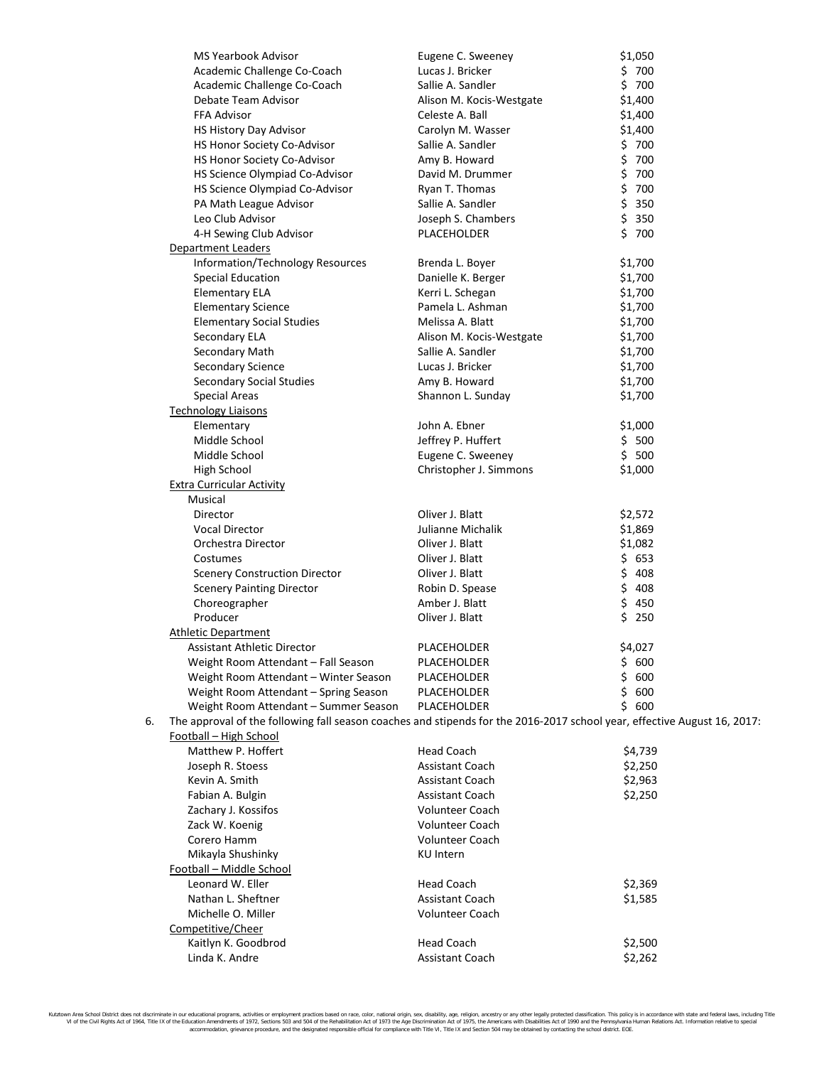|    | <b>MS Yearbook Advisor</b>                                                                                               | Eugene C. Sweeney        | \$1,050   |
|----|--------------------------------------------------------------------------------------------------------------------------|--------------------------|-----------|
|    | Academic Challenge Co-Coach                                                                                              | Lucas J. Bricker         | \$700     |
|    | Academic Challenge Co-Coach                                                                                              | Sallie A. Sandler        | \$700     |
|    | Debate Team Advisor                                                                                                      | Alison M. Kocis-Westgate | \$1,400   |
|    | FFA Advisor                                                                                                              | Celeste A. Ball          | \$1,400   |
|    | HS History Day Advisor                                                                                                   | Carolyn M. Wasser        | \$1,400   |
|    | HS Honor Society Co-Advisor                                                                                              | Sallie A. Sandler        | \$700     |
|    | HS Honor Society Co-Advisor                                                                                              | Amy B. Howard            | \$700     |
|    | HS Science Olympiad Co-Advisor                                                                                           | David M. Drummer         | \$700     |
|    | HS Science Olympiad Co-Advisor                                                                                           | Ryan T. Thomas           | \$700     |
|    | PA Math League Advisor                                                                                                   | Sallie A. Sandler        | \$350     |
|    | Leo Club Advisor                                                                                                         | Joseph S. Chambers       | \$350     |
|    | 4-H Sewing Club Advisor                                                                                                  | PLACEHOLDER              | \$700     |
|    | Department Leaders                                                                                                       |                          |           |
|    | Information/Technology Resources                                                                                         | Brenda L. Boyer          | \$1,700   |
|    | <b>Special Education</b>                                                                                                 | Danielle K. Berger       | \$1,700   |
|    | <b>Elementary ELA</b>                                                                                                    | Kerri L. Schegan         | \$1,700   |
|    | <b>Elementary Science</b>                                                                                                | Pamela L. Ashman         | \$1,700   |
|    | <b>Elementary Social Studies</b>                                                                                         | Melissa A. Blatt         | \$1,700   |
|    | Secondary ELA                                                                                                            | Alison M. Kocis-Westgate | \$1,700   |
|    | Secondary Math                                                                                                           | Sallie A. Sandler        | \$1,700   |
|    | Secondary Science                                                                                                        | Lucas J. Bricker         | \$1,700   |
|    | Secondary Social Studies                                                                                                 | Amy B. Howard            | \$1,700   |
|    | Special Areas                                                                                                            | Shannon L. Sunday        | \$1,700   |
|    | <b>Technology Liaisons</b>                                                                                               |                          |           |
|    | Elementary                                                                                                               | John A. Ebner            | \$1,000   |
|    | Middle School                                                                                                            | Jeffrey P. Huffert       | \$500     |
|    | Middle School                                                                                                            | Eugene C. Sweeney        | \$500     |
|    | <b>High School</b>                                                                                                       | Christopher J. Simmons   | \$1,000   |
|    | <b>Extra Curricular Activity</b>                                                                                         |                          |           |
|    | Musical                                                                                                                  |                          |           |
|    | Director                                                                                                                 | Oliver J. Blatt          | \$2,572   |
|    | <b>Vocal Director</b>                                                                                                    | Julianne Michalik        | \$1,869   |
|    | Orchestra Director                                                                                                       | Oliver J. Blatt          | \$1,082   |
|    | Costumes                                                                                                                 | Oliver J. Blatt          | \$653     |
|    | <b>Scenery Construction Director</b>                                                                                     | Oliver J. Blatt          | \$408     |
|    | <b>Scenery Painting Director</b>                                                                                         | Robin D. Spease          | \$408     |
|    | Choreographer                                                                                                            | Amber J. Blatt           | \$450     |
|    | Producer                                                                                                                 | Oliver J. Blatt          | \$250     |
|    | <b>Athletic Department</b>                                                                                               |                          |           |
|    | Assistant Athletic Director                                                                                              | PLACEHOLDER              | \$4,027   |
|    | Weight Room Attendant - Fall Season                                                                                      | PLACEHOLDER              | \$<br>600 |
|    | Weight Room Attendant - Winter Season                                                                                    | PLACEHOLDER              | \$<br>600 |
|    | Weight Room Attendant - Spring Season                                                                                    | PLACEHOLDER              | \$<br>600 |
|    | Weight Room Attendant - Summer Season                                                                                    | PLACEHOLDER              | \$<br>600 |
| 6. | The approval of the following fall season coaches and stipends for the 2016-2017 school year, effective August 16, 2017: |                          |           |
|    | Football - High School                                                                                                   |                          |           |
|    | Matthew P. Hoffert                                                                                                       | <b>Head Coach</b>        | \$4,739   |
|    | Joseph R. Stoess                                                                                                         | Assistant Coach          | \$2,250   |
|    | Kevin A. Smith                                                                                                           | <b>Assistant Coach</b>   | \$2,963   |
|    | Fabian A. Bulgin                                                                                                         | <b>Assistant Coach</b>   | \$2,250   |
|    | Zachary J. Kossifos                                                                                                      | <b>Volunteer Coach</b>   |           |
|    | Zack W. Koenig                                                                                                           | <b>Volunteer Coach</b>   |           |
|    | Corero Hamm                                                                                                              | <b>Volunteer Coach</b>   |           |
|    | Mikayla Shushinky                                                                                                        | KU Intern                |           |
|    | Football - Middle School                                                                                                 |                          |           |
|    | Leonard W. Eller                                                                                                         | <b>Head Coach</b>        | \$2,369   |
|    | Nathan L. Sheftner                                                                                                       | <b>Assistant Coach</b>   | \$1,585   |
|    | Michelle O. Miller                                                                                                       | <b>Volunteer Coach</b>   |           |
|    | Competitive/Cheer                                                                                                        |                          |           |
|    | Kaitlyn K. Goodbrod                                                                                                      | <b>Head Coach</b>        | \$2,500   |
|    | Linda K. Andre                                                                                                           | <b>Assistant Coach</b>   | \$2,262   |
|    |                                                                                                                          |                          |           |

Kutztown Area School District does not discriminate in our educational programs, activities or employment practices based on race, color, national origin, sex, disability, age, religion, ancestry or any other legally prot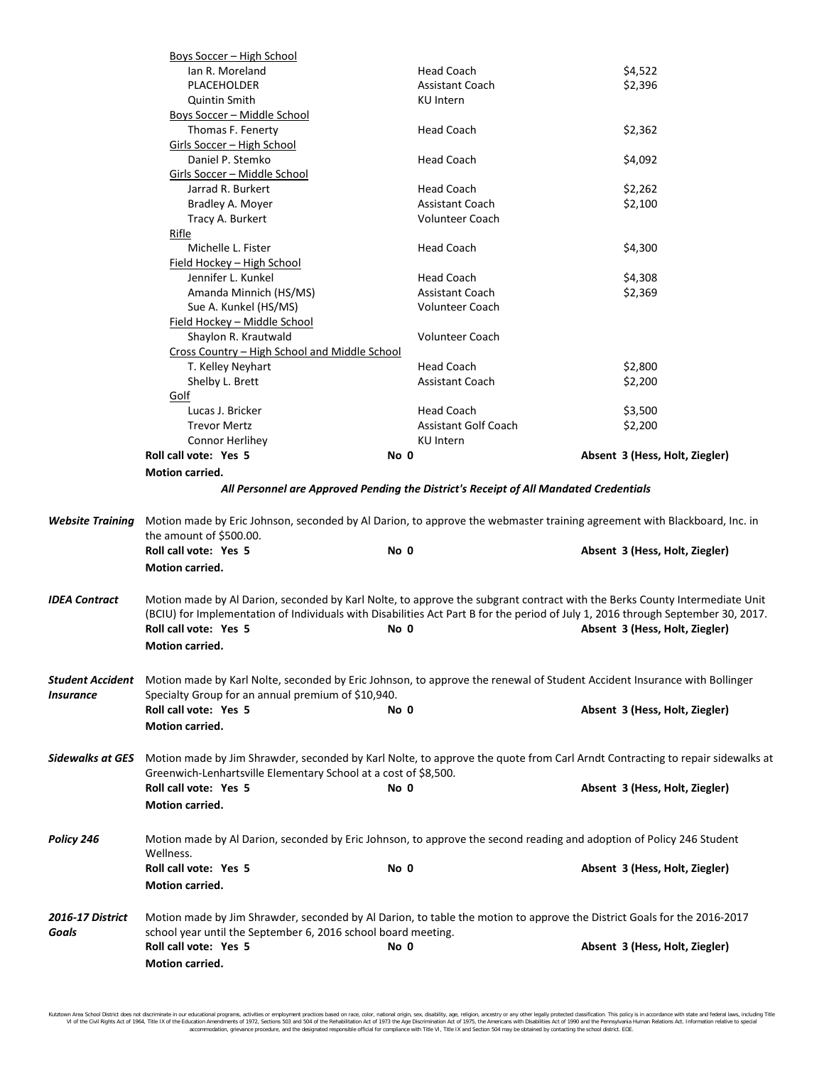|                               | Boys Soccer - High School                                                                                                                                                                |                             |                                                                                                                                                                                                                                                                                                  |  |  |  |
|-------------------------------|------------------------------------------------------------------------------------------------------------------------------------------------------------------------------------------|-----------------------------|--------------------------------------------------------------------------------------------------------------------------------------------------------------------------------------------------------------------------------------------------------------------------------------------------|--|--|--|
|                               | Ian R. Moreland                                                                                                                                                                          | <b>Head Coach</b>           | \$4,522                                                                                                                                                                                                                                                                                          |  |  |  |
|                               | PLACEHOLDER                                                                                                                                                                              | <b>Assistant Coach</b>      | \$2,396                                                                                                                                                                                                                                                                                          |  |  |  |
|                               | <b>Quintin Smith</b>                                                                                                                                                                     | KU Intern                   |                                                                                                                                                                                                                                                                                                  |  |  |  |
|                               | Boys Soccer - Middle School                                                                                                                                                              |                             |                                                                                                                                                                                                                                                                                                  |  |  |  |
|                               | Thomas F. Fenerty                                                                                                                                                                        | <b>Head Coach</b>           | \$2,362                                                                                                                                                                                                                                                                                          |  |  |  |
|                               | Girls Soccer - High School                                                                                                                                                               |                             |                                                                                                                                                                                                                                                                                                  |  |  |  |
|                               | Daniel P. Stemko                                                                                                                                                                         | <b>Head Coach</b>           | \$4,092                                                                                                                                                                                                                                                                                          |  |  |  |
|                               | <u> Girls Soccer – Middle School</u>                                                                                                                                                     |                             |                                                                                                                                                                                                                                                                                                  |  |  |  |
|                               | Jarrad R. Burkert                                                                                                                                                                        | <b>Head Coach</b>           | \$2,262                                                                                                                                                                                                                                                                                          |  |  |  |
|                               | Bradley A. Moyer                                                                                                                                                                         | <b>Assistant Coach</b>      | \$2,100                                                                                                                                                                                                                                                                                          |  |  |  |
|                               | Tracy A. Burkert                                                                                                                                                                         | <b>Volunteer Coach</b>      |                                                                                                                                                                                                                                                                                                  |  |  |  |
|                               | Rifle                                                                                                                                                                                    |                             |                                                                                                                                                                                                                                                                                                  |  |  |  |
|                               | Michelle L. Fister                                                                                                                                                                       | <b>Head Coach</b>           | \$4,300                                                                                                                                                                                                                                                                                          |  |  |  |
|                               | <u> Field Hockey – High School</u>                                                                                                                                                       |                             |                                                                                                                                                                                                                                                                                                  |  |  |  |
|                               | Jennifer L. Kunkel                                                                                                                                                                       | <b>Head Coach</b>           | \$4,308                                                                                                                                                                                                                                                                                          |  |  |  |
|                               | Amanda Minnich (HS/MS)                                                                                                                                                                   | <b>Assistant Coach</b>      | \$2,369                                                                                                                                                                                                                                                                                          |  |  |  |
|                               | Sue A. Kunkel (HS/MS)                                                                                                                                                                    | <b>Volunteer Coach</b>      |                                                                                                                                                                                                                                                                                                  |  |  |  |
|                               | Field Hockey - Middle School                                                                                                                                                             |                             |                                                                                                                                                                                                                                                                                                  |  |  |  |
|                               | Shaylon R. Krautwald<br><b>Volunteer Coach</b>                                                                                                                                           |                             |                                                                                                                                                                                                                                                                                                  |  |  |  |
|                               | Cross Country - High School and Middle School                                                                                                                                            |                             |                                                                                                                                                                                                                                                                                                  |  |  |  |
|                               | T. Kelley Neyhart                                                                                                                                                                        | <b>Head Coach</b>           | \$2,800                                                                                                                                                                                                                                                                                          |  |  |  |
|                               | Shelby L. Brett                                                                                                                                                                          | <b>Assistant Coach</b>      | \$2,200                                                                                                                                                                                                                                                                                          |  |  |  |
|                               | Golf                                                                                                                                                                                     |                             |                                                                                                                                                                                                                                                                                                  |  |  |  |
|                               | Lucas J. Bricker                                                                                                                                                                         | <b>Head Coach</b>           | \$3,500                                                                                                                                                                                                                                                                                          |  |  |  |
|                               | <b>Trevor Mertz</b>                                                                                                                                                                      | <b>Assistant Golf Coach</b> | \$2,200                                                                                                                                                                                                                                                                                          |  |  |  |
|                               | <b>Connor Herlihey</b>                                                                                                                                                                   | KU Intern                   |                                                                                                                                                                                                                                                                                                  |  |  |  |
|                               | Roll call vote: Yes 5                                                                                                                                                                    | No 0                        | Absent 3 (Hess, Holt, Ziegler)                                                                                                                                                                                                                                                                   |  |  |  |
|                               | <b>Motion carried.</b>                                                                                                                                                                   |                             |                                                                                                                                                                                                                                                                                                  |  |  |  |
| Website Training              | the amount of \$500.00.<br>Roll call vote: Yes 5                                                                                                                                         | No 0                        | Motion made by Eric Johnson, seconded by Al Darion, to approve the webmaster training agreement with Blackboard, Inc. in<br>Absent 3 (Hess, Holt, Ziegler)                                                                                                                                       |  |  |  |
|                               | <b>Motion carried.</b>                                                                                                                                                                   |                             |                                                                                                                                                                                                                                                                                                  |  |  |  |
|                               |                                                                                                                                                                                          |                             |                                                                                                                                                                                                                                                                                                  |  |  |  |
| IDEA Contract                 | Roll call vote: Yes 5<br><b>Motion carried.</b>                                                                                                                                          | No 0                        | Motion made by Al Darion, seconded by Karl Nolte, to approve the subgrant contract with the Berks County Intermediate Unit<br>(BCIU) for Implementation of Individuals with Disabilities Act Part B for the period of July 1, 2016 through September 30, 2017.<br>Absent 3 (Hess, Holt, Ziegler) |  |  |  |
| Student Accident<br>Insurance | Motion made by Karl Nolte, seconded by Eric Johnson, to approve the renewal of Student Accident Insurance with Bollinger<br>Specialty Group for an annual premium of \$10,940.           |                             |                                                                                                                                                                                                                                                                                                  |  |  |  |
|                               | Roll call vote: Yes 5                                                                                                                                                                    | No 0                        | Absent 3 (Hess, Holt, Ziegler)                                                                                                                                                                                                                                                                   |  |  |  |
|                               | <b>Motion carried.</b>                                                                                                                                                                   |                             |                                                                                                                                                                                                                                                                                                  |  |  |  |
|                               |                                                                                                                                                                                          |                             |                                                                                                                                                                                                                                                                                                  |  |  |  |
| Sidewalks at GES              | Greenwich-Lenhartsville Elementary School at a cost of \$8,500.                                                                                                                          |                             | Motion made by Jim Shrawder, seconded by Karl Nolte, to approve the quote from Carl Arndt Contracting to repair sidewalks at                                                                                                                                                                     |  |  |  |
|                               | Roll call vote: Yes 5<br><b>Motion carried.</b>                                                                                                                                          | No 0                        | Absent 3 (Hess, Holt, Ziegler)                                                                                                                                                                                                                                                                   |  |  |  |
| Policy 246                    | Wellness.                                                                                                                                                                                |                             | Motion made by Al Darion, seconded by Eric Johnson, to approve the second reading and adoption of Policy 246 Student                                                                                                                                                                             |  |  |  |
|                               | Roll call vote: Yes 5<br><b>Motion carried.</b>                                                                                                                                          | No 0                        | Absent 3 (Hess, Holt, Ziegler)                                                                                                                                                                                                                                                                   |  |  |  |
| 2016-17 District<br>Goals     | Motion made by Jim Shrawder, seconded by Al Darion, to table the motion to approve the District Goals for the 2016-2017<br>school year until the September 6, 2016 school board meeting. |                             |                                                                                                                                                                                                                                                                                                  |  |  |  |
|                               | Roll call vote: Yes 5<br><b>Motion carried.</b>                                                                                                                                          | No 0                        | Absent 3 (Hess, Holt, Ziegler)                                                                                                                                                                                                                                                                   |  |  |  |

Kutztown Area School District does not discriminate in our educational programs, activities or employment practices based on race, color, national origin, sex, disability, age, religion, ancestry or any other legally prot